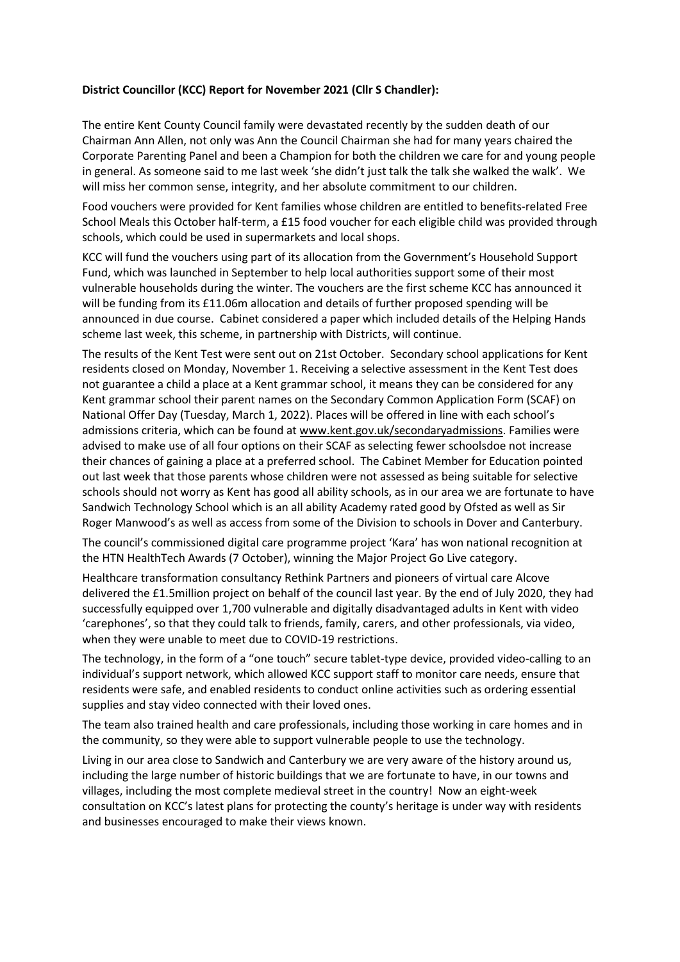## District Councillor (KCC) Report for November 2021 (Cllr S Chandler):

The entire Kent County Council family were devastated recently by the sudden death of our Chairman Ann Allen, not only was Ann the Council Chairman she had for many years chaired the Corporate Parenting Panel and been a Champion for both the children we care for and young people in general. As someone said to me last week 'she didn't just talk the talk she walked the walk'. We will miss her common sense, integrity, and her absolute commitment to our children.

Food vouchers were provided for Kent families whose children are entitled to benefits-related Free School Meals this October half-term, a £15 food voucher for each eligible child was provided through schools, which could be used in supermarkets and local shops.

KCC will fund the vouchers using part of its allocation from the Government's Household Support Fund, which was launched in September to help local authorities support some of their most vulnerable households during the winter. The vouchers are the first scheme KCC has announced it will be funding from its £11.06m allocation and details of further proposed spending will be announced in due course. Cabinet considered a paper which included details of the Helping Hands scheme last week, this scheme, in partnership with Districts, will continue.

The results of the Kent Test were sent out on 21st October. Secondary school applications for Kent residents closed on Monday, November 1. Receiving a selective assessment in the Kent Test does not guarantee a child a place at a Kent grammar school, it means they can be considered for any Kent grammar school their parent names on the Secondary Common Application Form (SCAF) on National Offer Day (Tuesday, March 1, 2022). Places will be offered in line with each school's admissions criteria, which can be found at www.kent.gov.uk/secondaryadmissions. Families were advised to make use of all four options on their SCAF as selecting fewer schoolsdoe not increase their chances of gaining a place at a preferred school. The Cabinet Member for Education pointed out last week that those parents whose children were not assessed as being suitable for selective schools should not worry as Kent has good all ability schools, as in our area we are fortunate to have Sandwich Technology School which is an all ability Academy rated good by Ofsted as well as Sir Roger Manwood's as well as access from some of the Division to schools in Dover and Canterbury.

The council's commissioned digital care programme project 'Kara' has won national recognition at the HTN HealthTech Awards (7 October), winning the Major Project Go Live category.

Healthcare transformation consultancy Rethink Partners and pioneers of virtual care Alcove delivered the £1.5million project on behalf of the council last year. By the end of July 2020, they had successfully equipped over 1,700 vulnerable and digitally disadvantaged adults in Kent with video 'carephones', so that they could talk to friends, family, carers, and other professionals, via video, when they were unable to meet due to COVID-19 restrictions.

The technology, in the form of a "one touch" secure tablet-type device, provided video-calling to an individual's support network, which allowed KCC support staff to monitor care needs, ensure that residents were safe, and enabled residents to conduct online activities such as ordering essential supplies and stay video connected with their loved ones.

The team also trained health and care professionals, including those working in care homes and in the community, so they were able to support vulnerable people to use the technology.

Living in our area close to Sandwich and Canterbury we are very aware of the history around us, including the large number of historic buildings that we are fortunate to have, in our towns and villages, including the most complete medieval street in the country! Now an eight-week consultation on KCC's latest plans for protecting the county's heritage is under way with residents and businesses encouraged to make their views known.